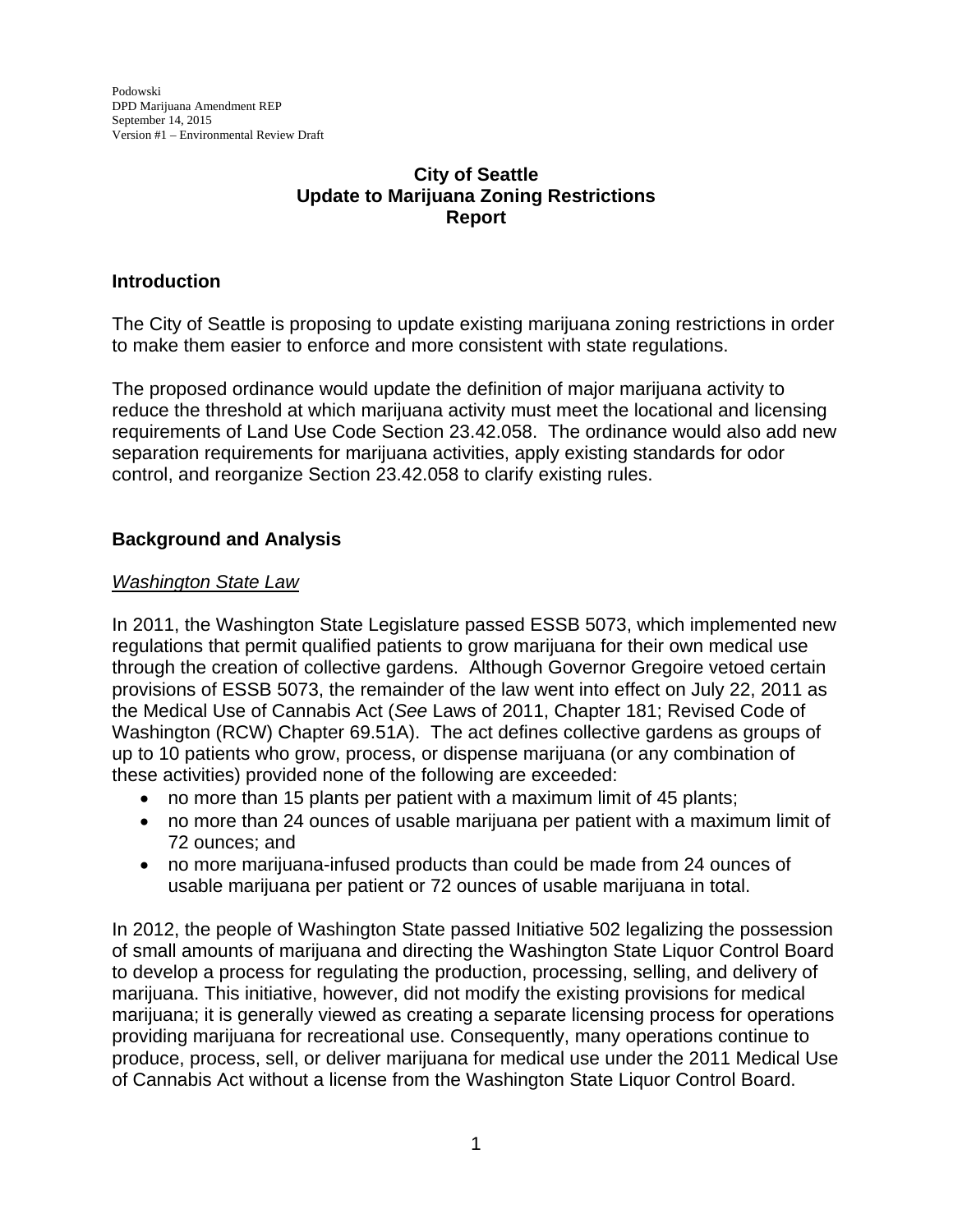# **City of Seattle Update to Marijuana Zoning Restrictions Report**

# **Introduction**

The City of Seattle is proposing to update existing marijuana zoning restrictions in order to make them easier to enforce and more consistent with state regulations.

The proposed ordinance would update the definition of major marijuana activity to reduce the threshold at which marijuana activity must meet the locational and licensing requirements of Land Use Code Section 23.42.058. The ordinance would also add new separation requirements for marijuana activities, apply existing standards for odor control, and reorganize Section 23.42.058 to clarify existing rules.

# **Background and Analysis**

## *Washington State Law*

In 2011, the Washington State Legislature passed ESSB 5073, which implemented new regulations that permit qualified patients to grow marijuana for their own medical use through the creation of collective gardens. Although Governor Gregoire vetoed certain provisions of ESSB 5073, the remainder of the law went into effect on July 22, 2011 as the Medical Use of Cannabis Act (*See* Laws of 2011, Chapter 181; Revised Code of Washington (RCW) Chapter 69.51A). The act defines collective gardens as groups of up to 10 patients who grow, process, or dispense marijuana (or any combination of these activities) provided none of the following are exceeded:

- no more than 15 plants per patient with a maximum limit of 45 plants;
- no more than 24 ounces of usable marijuana per patient with a maximum limit of 72 ounces; and
- no more marijuana-infused products than could be made from 24 ounces of usable marijuana per patient or 72 ounces of usable marijuana in total.

In 2012, the people of Washington State passed Initiative 502 legalizing the possession of small amounts of marijuana and directing the Washington State Liquor Control Board to develop a process for regulating the production, processing, selling, and delivery of marijuana. This initiative, however, did not modify the existing provisions for medical marijuana; it is generally viewed as creating a separate licensing process for operations providing marijuana for recreational use. Consequently, many operations continue to produce, process, sell, or deliver marijuana for medical use under the 2011 Medical Use of Cannabis Act without a license from the Washington State Liquor Control Board.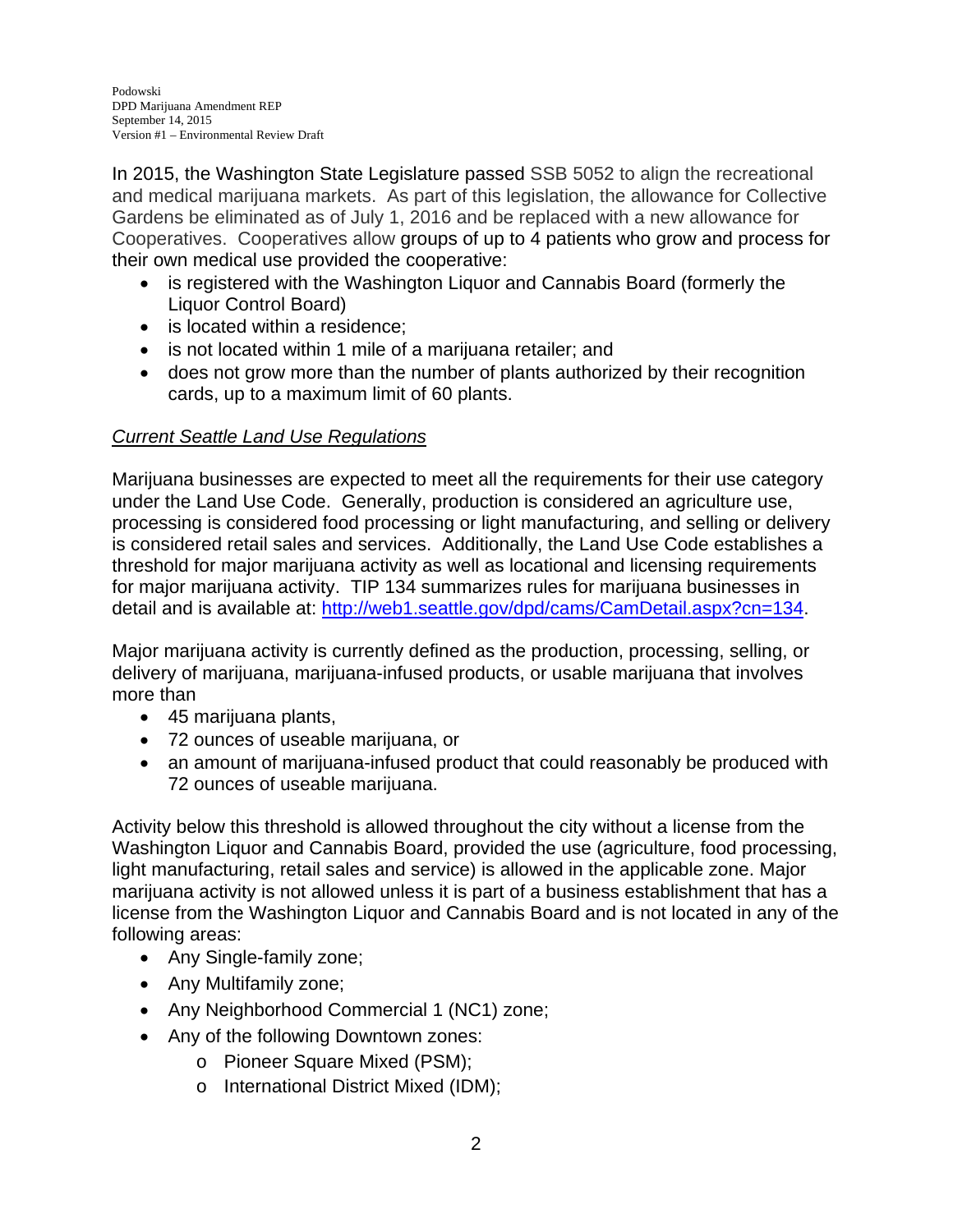In 2015, the Washington State Legislature passed SSB 5052 to align the recreational and medical marijuana markets. As part of this legislation, the allowance for Collective Gardens be eliminated as of July 1, 2016 and be replaced with a new allowance for Cooperatives. Cooperatives allow groups of up to 4 patients who grow and process for their own medical use provided the cooperative:

- is registered with the Washington Liquor and Cannabis Board (formerly the Liquor Control Board)
- is located within a residence:
- is not located within 1 mile of a marijuana retailer; and
- does not grow more than the number of plants authorized by their recognition cards, up to a maximum limit of 60 plants.

## *Current Seattle Land Use Regulations*

Marijuana businesses are expected to meet all the requirements for their use category under the Land Use Code. Generally, production is considered an agriculture use, processing is considered food processing or light manufacturing, and selling or delivery is considered retail sales and services. Additionally, the Land Use Code establishes a threshold for major marijuana activity as well as locational and licensing requirements for major marijuana activity. TIP 134 summarizes rules for marijuana businesses in detail and is available at: http://web1.seattle.gov/dpd/cams/CamDetail.aspx?cn=134.

Major marijuana activity is currently defined as the production, processing, selling, or delivery of marijuana, marijuana-infused products, or usable marijuana that involves more than

- 45 marijuana plants,
- 72 ounces of useable marijuana, or
- an amount of marijuana-infused product that could reasonably be produced with 72 ounces of useable marijuana.

Activity below this threshold is allowed throughout the city without a license from the Washington Liquor and Cannabis Board, provided the use (agriculture, food processing, light manufacturing, retail sales and service) is allowed in the applicable zone. Major marijuana activity is not allowed unless it is part of a business establishment that has a license from the Washington Liquor and Cannabis Board and is not located in any of the following areas:

- Any Single-family zone;
- Any Multifamily zone;
- Any Neighborhood Commercial 1 (NC1) zone;
- Any of the following Downtown zones:
	- o Pioneer Square Mixed (PSM);
	- o International District Mixed (IDM);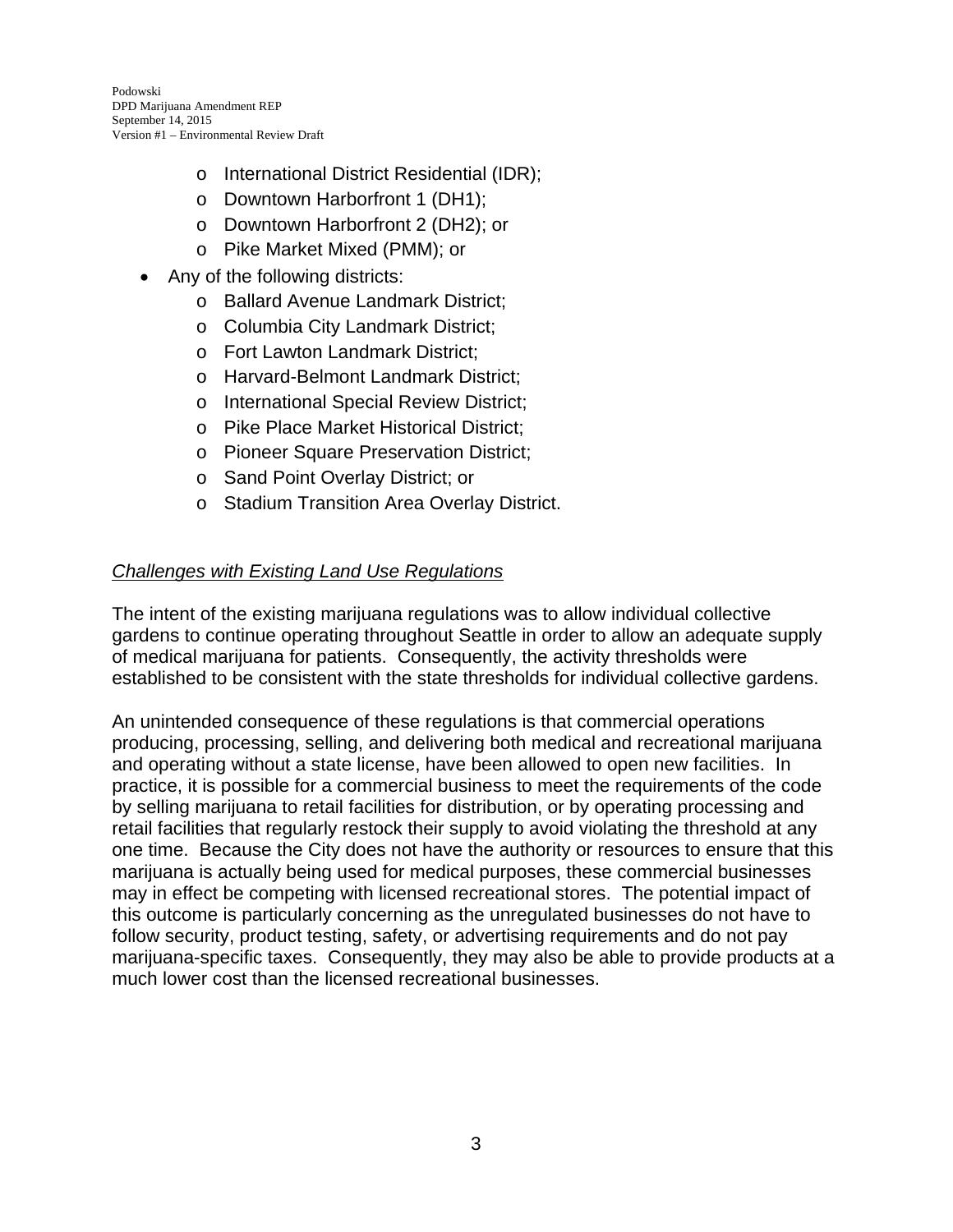- o International District Residential (IDR);
- o Downtown Harborfront 1 (DH1);
- o Downtown Harborfront 2 (DH2); or
- o Pike Market Mixed (PMM); or
- Any of the following districts:
	- o Ballard Avenue Landmark District;
	- o Columbia City Landmark District;
	- o Fort Lawton Landmark District;
	- o Harvard-Belmont Landmark District;
	- o International Special Review District;
	- o Pike Place Market Historical District;
	- o Pioneer Square Preservation District;
	- o Sand Point Overlay District; or
	- o Stadium Transition Area Overlay District.

# *Challenges with Existing Land Use Regulations*

The intent of the existing marijuana regulations was to allow individual collective gardens to continue operating throughout Seattle in order to allow an adequate supply of medical marijuana for patients. Consequently, the activity thresholds were established to be consistent with the state thresholds for individual collective gardens.

An unintended consequence of these regulations is that commercial operations producing, processing, selling, and delivering both medical and recreational marijuana and operating without a state license, have been allowed to open new facilities. In practice, it is possible for a commercial business to meet the requirements of the code by selling marijuana to retail facilities for distribution, or by operating processing and retail facilities that regularly restock their supply to avoid violating the threshold at any one time. Because the City does not have the authority or resources to ensure that this marijuana is actually being used for medical purposes, these commercial businesses may in effect be competing with licensed recreational stores. The potential impact of this outcome is particularly concerning as the unregulated businesses do not have to follow security, product testing, safety, or advertising requirements and do not pay marijuana-specific taxes. Consequently, they may also be able to provide products at a much lower cost than the licensed recreational businesses.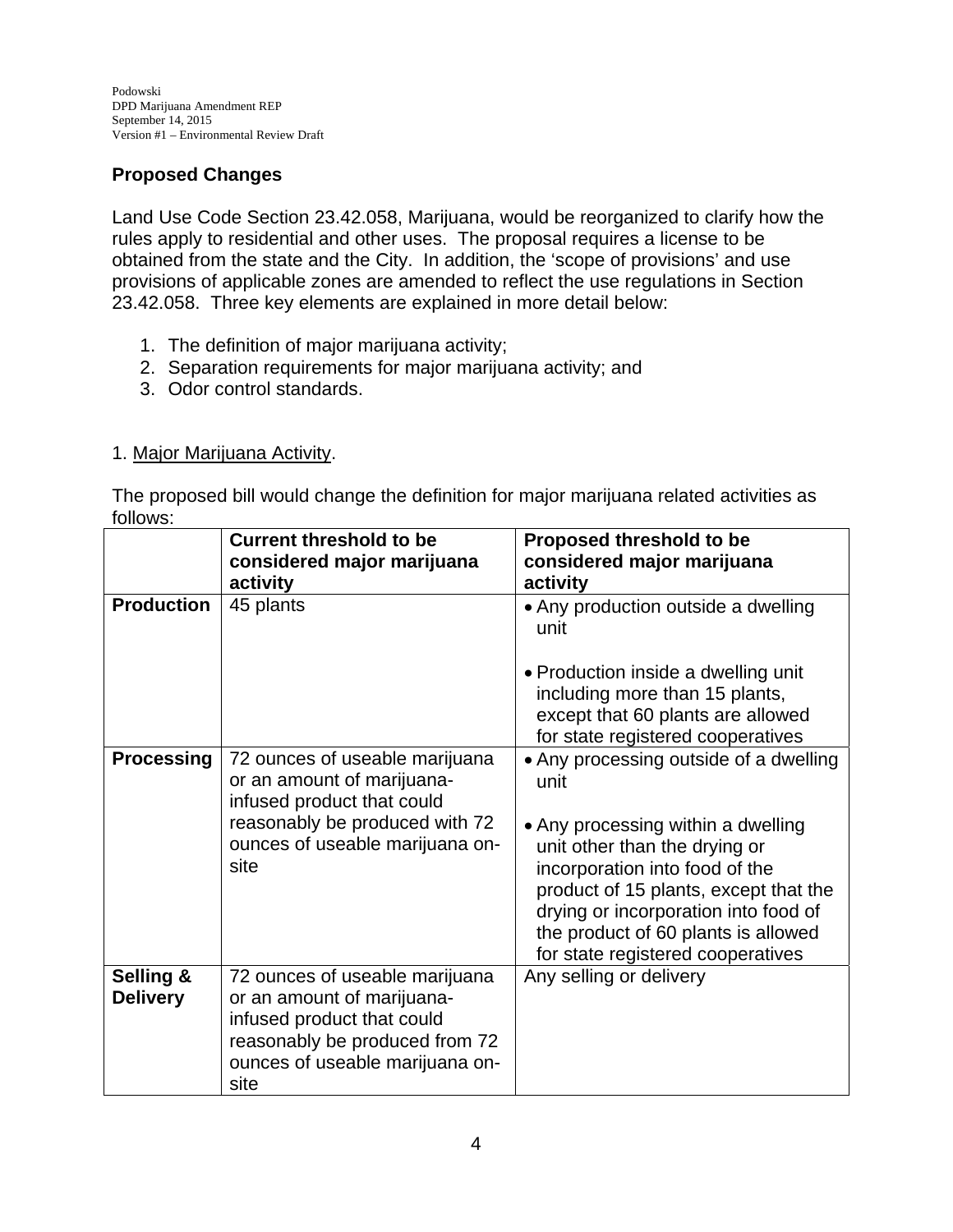# **Proposed Changes**

Land Use Code Section 23.42.058, Marijuana, would be reorganized to clarify how the rules apply to residential and other uses. The proposal requires a license to be obtained from the state and the City. In addition, the 'scope of provisions' and use provisions of applicable zones are amended to reflect the use regulations in Section 23.42.058. Three key elements are explained in more detail below:

- 1. The definition of major marijuana activity;
- 2. Separation requirements for major marijuana activity; and
- 3. Odor control standards.

# 1. Major Marijuana Activity.

The proposed bill would change the definition for major marijuana related activities as follows:

|                              | <b>Current threshold to be</b><br>considered major marijuana<br>activity                                                                                                | <b>Proposed threshold to be</b><br>considered major marijuana<br>activity                                                                                                                                                                |
|------------------------------|-------------------------------------------------------------------------------------------------------------------------------------------------------------------------|------------------------------------------------------------------------------------------------------------------------------------------------------------------------------------------------------------------------------------------|
| <b>Production</b>            | 45 plants                                                                                                                                                               | • Any production outside a dwelling<br>unit                                                                                                                                                                                              |
|                              |                                                                                                                                                                         | • Production inside a dwelling unit<br>including more than 15 plants,<br>except that 60 plants are allowed<br>for state registered cooperatives                                                                                          |
| <b>Processing</b>            | 72 ounces of useable marijuana<br>or an amount of marijuana-<br>infused product that could<br>reasonably be produced with 72<br>ounces of useable marijuana on-<br>site | • Any processing outside of a dwelling<br>unit<br>• Any processing within a dwelling<br>unit other than the drying or<br>incorporation into food of the<br>product of 15 plants, except that the<br>drying or incorporation into food of |
|                              |                                                                                                                                                                         | the product of 60 plants is allowed<br>for state registered cooperatives                                                                                                                                                                 |
| Selling &<br><b>Delivery</b> | 72 ounces of useable marijuana<br>or an amount of marijuana-<br>infused product that could<br>reasonably be produced from 72<br>ounces of useable marijuana on-<br>site | Any selling or delivery                                                                                                                                                                                                                  |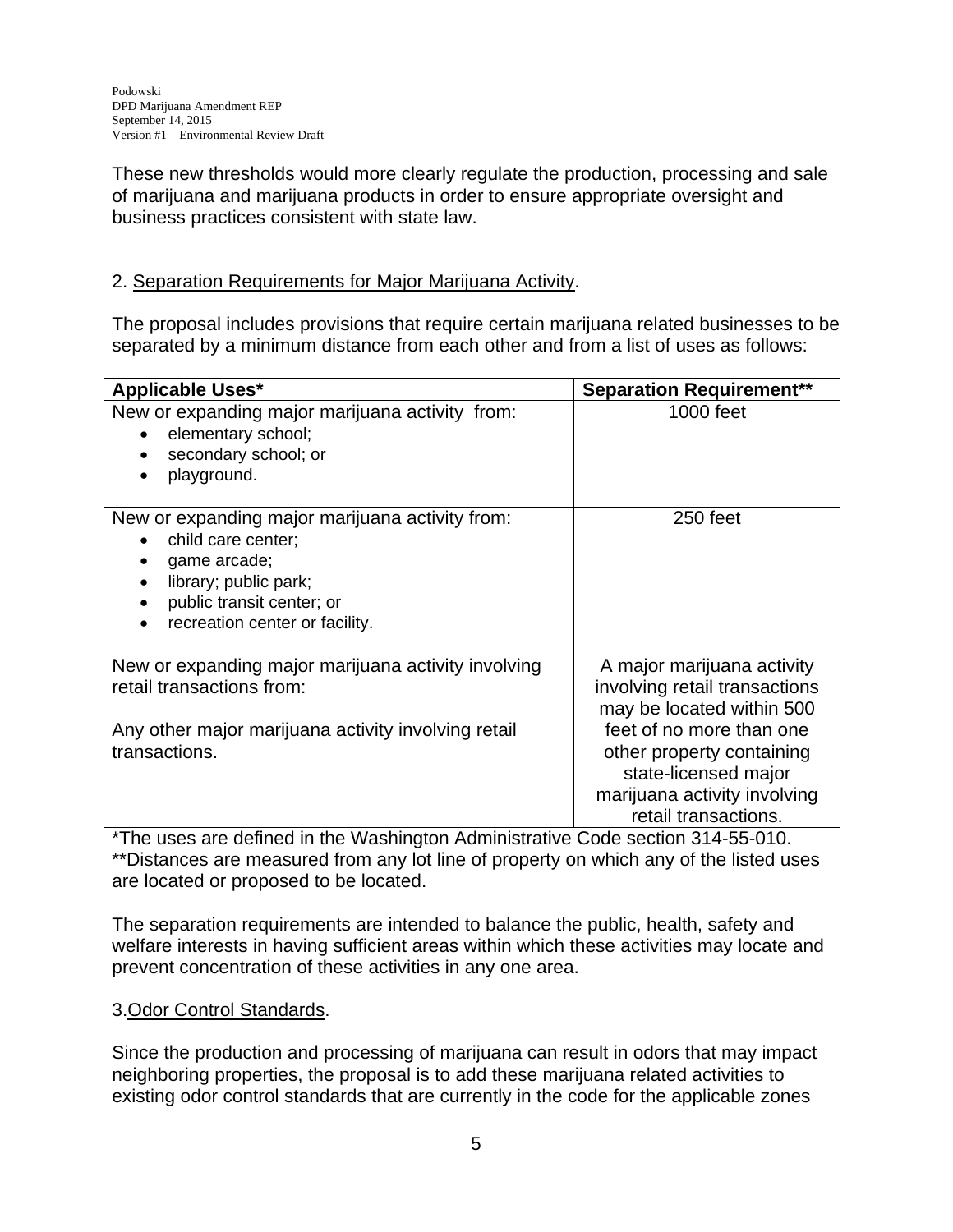These new thresholds would more clearly regulate the production, processing and sale of marijuana and marijuana products in order to ensure appropriate oversight and business practices consistent with state law.

## 2. Separation Requirements for Major Marijuana Activity.

The proposal includes provisions that require certain marijuana related businesses to be separated by a minimum distance from each other and from a list of uses as follows:

| <b>Applicable Uses*</b>                                                                                                                                                       | <b>Separation Requirement**</b>                                                                                      |
|-------------------------------------------------------------------------------------------------------------------------------------------------------------------------------|----------------------------------------------------------------------------------------------------------------------|
| New or expanding major marijuana activity from:<br>elementary school;<br>secondary school; or<br>playground.                                                                  | 1000 feet                                                                                                            |
| New or expanding major marijuana activity from:<br>child care center;<br>game arcade;<br>library; public park;<br>public transit center; or<br>recreation center or facility. | 250 feet                                                                                                             |
| New or expanding major marijuana activity involving<br>retail transactions from:<br>Any other major marijuana activity involving retail                                       | A major marijuana activity<br>involving retail transactions<br>may be located within 500<br>feet of no more than one |
| transactions.                                                                                                                                                                 | other property containing<br>state-licensed major<br>marijuana activity involving<br>retail transactions.            |

\*The uses are defined in the Washington Administrative Code section 314-55-010. \*\*Distances are measured from any lot line of property on which any of the listed uses are located or proposed to be located.

The separation requirements are intended to balance the public, health, safety and welfare interests in having sufficient areas within which these activities may locate and prevent concentration of these activities in any one area.

## 3.Odor Control Standards.

Since the production and processing of marijuana can result in odors that may impact neighboring properties, the proposal is to add these marijuana related activities to existing odor control standards that are currently in the code for the applicable zones